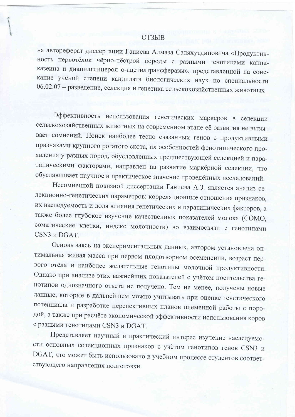## **ОТЗЫВ**

на автореферат диссертации Ганиева Алмаза Саляхутдиновича «Продуктивность первотёлок чёрно-пёстрой породы с разными генотипами каппаказеина и диацилглицерол о-ацетилтрансферазы», представленной на соискание учёной степени кандидата биологических наук по специальности 06.02.07 - разведение, селекция и генетика сельскохозяйственных животных

Эффективность использования генетических маркёров в селекции сельскохозяйственных животных на современном этапе её развития не вызывает сомнений. Поиск наиболее тесно связанных генов с продуктивными признаками крупного рогатого скота, их особенностей фенотипического проявления у разных пород, обусловленных предшествующей селекцией и паратипическими факторами, направлен на развитие маркёрной селекции, что обуславливает научное и практическое значение проведённых исследований.

Несомненной новизной диссертации Ганиева А.З. является анализ селекционно-генетических параметров: корреляционные отношения признаков, их наследуемость и доля влияния генетических и паратипических факторов, а также более глубокое изучение качественных показателей молока (СОМО, соматические клетки, индекс молочности) во взаимосвязи с генотипами CSN3 и DGAT.

Основываясь на экспериментальных данных, автором установлена оптимальная живая масса при первом плодотворном осеменении, возраст первого отёла и наиболее желательные генотипы молочной продуктивности. Однако при анализе этих важнейших показателей с учётом носительства генотипов однозначного ответа не получено. Тем не менее, получены новые данные, которые в дальнейшем можно учитывать при оценке генетического потенциала и разработке перспективных планов племенной работы с породой, а также при расчёте экономической эффективности использования коров с разными генотипами CSN3 и DGAT.

Представляет научный и практический интерес изучение наследуемости основных селекционных признаков с учётом генотипов генов CSN3 и DGAT, что может быть использовано в учебном процессе студентов соответствующего направления подготовки.